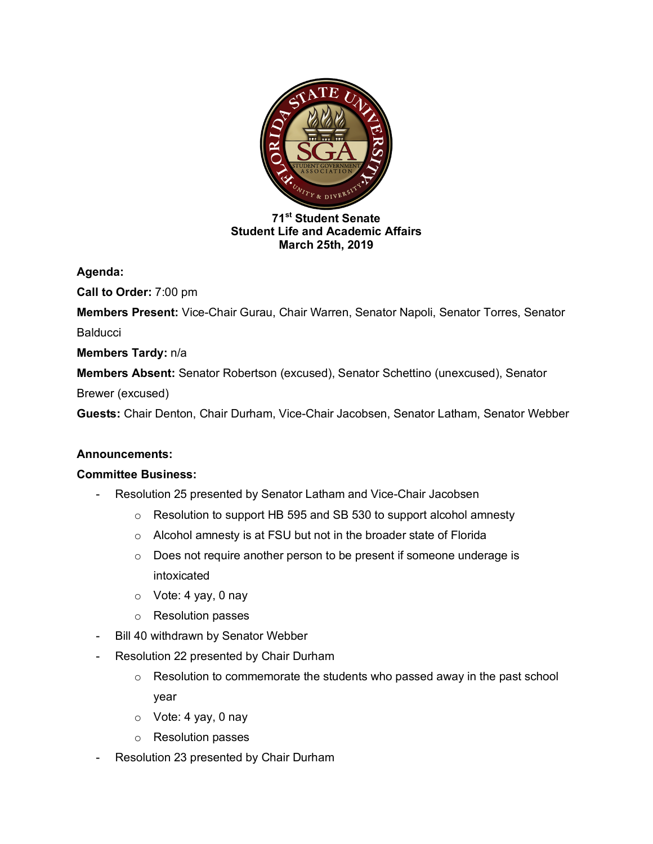

## **71st Student Senate Student Life and Academic Affairs March 25th, 2019**

**Agenda:** 

**Call to Order:** 7:00 pm

**Members Present:** Vice-Chair Gurau, Chair Warren, Senator Napoli, Senator Torres, Senator **Balducci** 

**Members Tardy:** n/a

**Members Absent:** Senator Robertson (excused), Senator Schettino (unexcused), Senator

Brewer (excused)

**Guests:** Chair Denton, Chair Durham, Vice-Chair Jacobsen, Senator Latham, Senator Webber

## **Announcements:**

## **Committee Business:**

- Resolution 25 presented by Senator Latham and Vice-Chair Jacobsen
	- o Resolution to support HB 595 and SB 530 to support alcohol amnesty
	- o Alcohol amnesty is at FSU but not in the broader state of Florida
	- o Does not require another person to be present if someone underage is intoxicated
	- o Vote: 4 yay, 0 nay
	- o Resolution passes
- Bill 40 withdrawn by Senator Webber
- Resolution 22 presented by Chair Durham
	- $\circ$  Resolution to commemorate the students who passed away in the past school year
	- o Vote: 4 yay, 0 nay
	- o Resolution passes
- Resolution 23 presented by Chair Durham